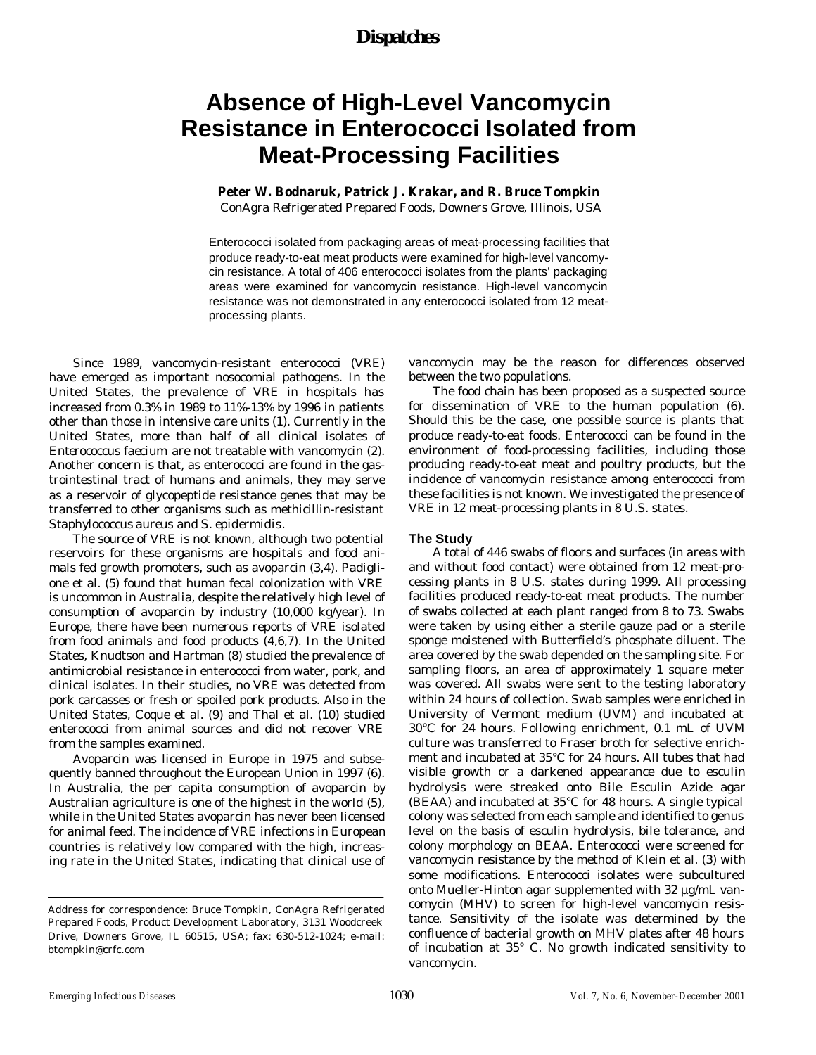## *Dispatches*

# **Absence of High-Level Vancomycin Resistance in Enterococci Isolated from Meat-Processing Facilities**

## **Peter W. Bodnaruk, Patrick J. Krakar, and R. Bruce Tompkin**

ConAgra Refrigerated Prepared Foods, Downers Grove, Illinois, USA

Enterococci isolated from packaging areas of meat-processing facilities that produce ready-to-eat meat products were examined for high-level vancomycin resistance. A total of 406 enterococci isolates from the plants' packaging areas were examined for vancomycin resistance. High-level vancomycin resistance was not demonstrated in any enterococci isolated from 12 meatprocessing plants.

Since 1989, vancomycin-resistant enterococci (VRE) have emerged as important nosocomial pathogens. In the United States, the prevalence of VRE in hospitals has increased from 0.3% in 1989 to 11%-13% by 1996 in patients other than those in intensive care units (1). Currently in the United States, more than half of all clinical isolates of *Enterococcus faecium* are not treatable with vancomycin (2). Another concern is that, as enterococci are found in the gastrointestinal tract of humans and animals, they may serve as a reservoir of glycopeptide resistance genes that may be transferred to other organisms such as methicillin-resistant *Staphylococcus aureus* and *S. epidermidis*.

The source of VRE is not known, although two potential reservoirs for these organisms are hospitals and food animals fed growth promoters, such as avoparcin (3,4). Padiglione et al. (5) found that human fecal colonization with VRE is uncommon in Australia, despite the relatively high level of consumption of avoparcin by industry (10,000 kg/year). In Europe, there have been numerous reports of VRE isolated from food animals and food products (4,6,7). In the United States, Knudtson and Hartman (8) studied the prevalence of antimicrobial resistance in enterococci from water, pork, and clinical isolates. In their studies, no VRE was detected from pork carcasses or fresh or spoiled pork products. Also in the United States, Coque et al. (9) and Thal et al. (10) studied enterococci from animal sources and did not recover VRE from the samples examined.

Avoparcin was licensed in Europe in 1975 and subsequently banned throughout the European Union in 1997 (6). In Australia, the per capita consumption of avoparcin by Australian agriculture is one of the highest in the world (5), while in the United States avoparcin has never been licensed for animal feed. The incidence of VRE infections in European countries is relatively low compared with the high, increasing rate in the United States, indicating that clinical use of

vancomycin may be the reason for differences observed between the two populations.

The food chain has been proposed as a suspected source for dissemination of VRE to the human population (6). Should this be the case, one possible source is plants that produce ready-to-eat foods. Enterococci can be found in the environment of food-processing facilities, including those producing ready-to-eat meat and poultry products, but the incidence of vancomycin resistance among enterococci from these facilities is not known. We investigated the presence of VRE in 12 meat-processing plants in 8 U.S. states.

#### **The Study**

A total of 446 swabs of floors and surfaces (in areas with and without food contact) were obtained from 12 meat-processing plants in 8 U.S. states during 1999. All processing facilities produced ready-to-eat meat products. The number of swabs collected at each plant ranged from 8 to 73. Swabs were taken by using either a sterile gauze pad or a sterile sponge moistened with Butterfield's phosphate diluent. The area covered by the swab depended on the sampling site. For sampling floors, an area of approximately 1 square meter was covered. All swabs were sent to the testing laboratory within 24 hours of collection. Swab samples were enriched in University of Vermont medium (UVM) and incubated at 30°C for 24 hours. Following enrichment, 0.1 mL of UVM culture was transferred to Fraser broth for selective enrichment and incubated at 35°C for 24 hours. All tubes that had visible growth or a darkened appearance due to esculin hydrolysis were streaked onto Bile Esculin Azide agar (BEAA) and incubated at 35°C for 48 hours. A single typical colony was selected from each sample and identified to genus level on the basis of esculin hydrolysis, bile tolerance, and colony morphology on BEAA. Enterococci were screened for vancomycin resistance by the method of Klein et al. (3) with some modifications. Enterococci isolates were subcultured onto Mueller-Hinton agar supplemented with 32 µg/mL vancomycin (MHV) to screen for high-level vancomycin resistance. Sensitivity of the isolate was determined by the confluence of bacterial growth on MHV plates after 48 hours of incubation at 35° C. No growth indicated sensitivity to vancomycin.

Address for correspondence: Bruce Tompkin, ConAgra Refrigerated Prepared Foods, Product Development Laboratory, 3131 Woodcreek Drive, Downers Grove, IL 60515, USA; fax: 630-512-1024; e-mail: btompkin@crfc.com